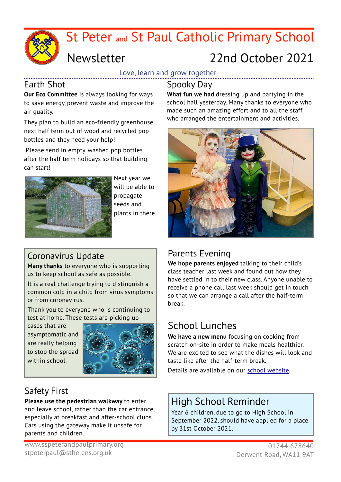

# St Peter and St Paul Catholic Primary School

# Newsletter 22nd October 2021

Love, learn and grow together

## Earth Shot

**Our Eco Committee** is always looking for ways to save energy, prevent waste and improve the air quality.

They plan to build an eco-friendly greenhouse next half term out of wood and recycled pop bottles and they need your help!

 Please send in empty, washed pop bottles after the half term holidays so that building can start!



Next year we will be able to propagate seeds and plants in there.

# Coronavirus Update

**Many thanks** to everyone who is supporting us to keep school as safe as possible.

It is a real challenge trying to distinguish a common cold in a child from virus symptoms or from coronavirus.

Thank you to everyone who is continuing to test at home. These tests are picking up

cases that are asymptomatic and are really helping to stop the spread within school



# Safety First

**Please use the pedestrian walkway** to enter and leave school, rather than the car entrance, especially at breakfast and after-school clubs. Cars using the gateway make it unsafe for parents and children.

**What fun we had** dressing up and partying in the school hall yesterday. Many thanks to everyone who made such an amazing effort and to all the staff who arranged the entertainment and activities.



# Parents Evening

**We hope parents enjoyed** talking to their child's class teacher last week and found out how they have settled in to their new class. Anyone unable to receive a phone call last week should get in touch so that we can arrange a call after the half-term break.

# School Lunches

**We have a new menu** focusing on cooking from scratch on-site in order to make meals healthier. We are excited to see what the dishes will look and taste like after the half-term break.

Details are available on our [school website.](https://www.sspeterandpaulprimary.org/page/lunch/62095)

# High School Reminder

Year 6 children, due to go to High School in September 2022, should have applied for a place by 31st October 2021.